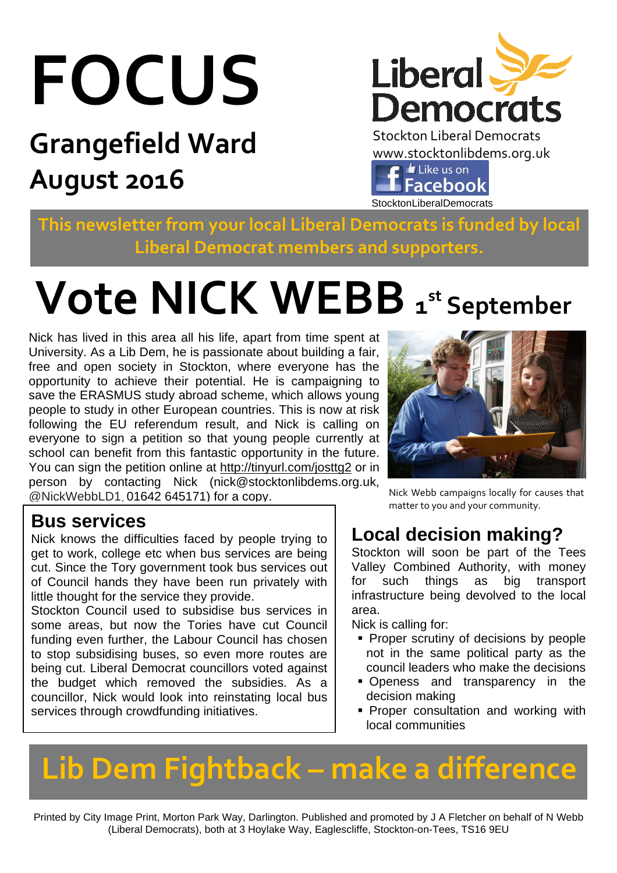# **FOCUS**

## **Grangefield Ward August 2016**



Stockton Liberal Democrats www.stocktonlibdems.org.uk<br>
E E E Like us on **Facebook** StocktonLiberalDemocrats

**This newsletter from your local Liberal Democrats is funded by local Liberal Democrat members and supporters.** 

## $V$  **Ote NICK WEBB**  $1^{\text{st}}$  September

Nick has lived in this area all his life, apart from time spent at University. As a Lib Dem, he is passionate about building a fair, free and open society in Stockton, where everyone has the opportunity to achieve their potential. He is campaigning to save the ERASMUS study abroad scheme, which allows young people to study in other European countries. This is now at risk following the EU referendum result, and Nick is calling on everyone to sign a petition so that young people currently at school can benefit from this fantastic opportunity in the future. You can sign the petition online at http://tinyurl.com/josttg2 or in person by contacting Nick (nick@stocktonlibdems.org.uk, @NickWebbLD1, 01642 645171) for a copy.

#### **Bus services**

Nick knows the difficulties faced by people trying to get to work, college etc when bus services are being cut. Since the Tory government took bus services out of Council hands they have been run privately with little thought for the service they provide.

Stockton Council used to subsidise bus services in some areas, but now the Tories have cut Council funding even further, the Labour Council has chosen to stop subsidising buses, so even more routes are being cut. Liberal Democrat councillors voted against the budget which removed the subsidies. As a councillor, Nick would look into reinstating local bus services through crowdfunding initiatives.



Nick Webb campaigns locally for causes that matter to you and your community.

## **Local decision making?**

Stockton will soon be part of the Tees Valley Combined Authority, with money for such things as big transport infrastructure being devolved to the local area.

Nick is calling for:

- **Proper scrutiny of decisions by people** not in the same political party as the council leaders who make the decisions
- **Openess and transparency in the** decision making
- **Proper consultation and working with** local communities

## **Lib Dem Fightback – make a difference**

Printed by City Image Print, Morton Park Way, Darlington. Published and promoted by J A Fletcher on behalf of N Webb (Liberal Democrats), both at 3 Hoylake Way, Eaglescliffe, Stockton-on-Tees, TS16 9EU